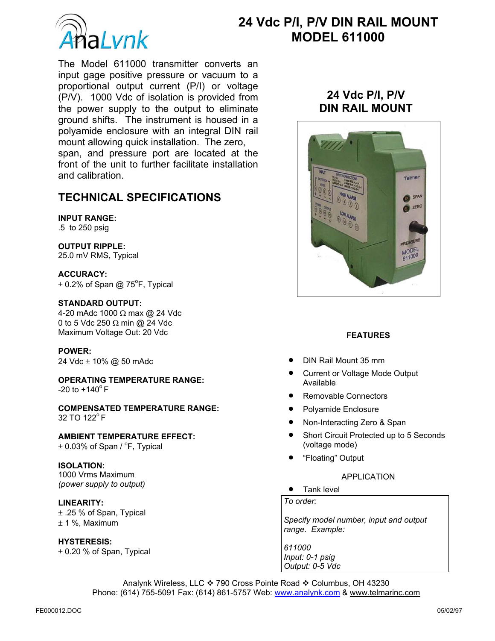

# **24 Vdc P/I, P/V DIN RAIL MOUNT a** *I* vnk **b MODEL 611000**

The Model 611000 transmitter converts an input gage positive pressure or vacuum to a proportional output current (P/I) or voltage (P/V). 1000 Vdc of isolation is provided from the power supply to the output to eliminate ground shifts. The instrument is housed in a polyamide enclosure with an integral DIN rail mount allowing quick installation. The zero, span, and pressure port are located at the front of the unit to further facilitate installation and calibration.

# **TECHNICAL SPECIFICATIONS**

# **INPUT RANGE:**

.5 to 250 psig

# **OUTPUT RIPPLE:**

25.0 mV RMS, Typical

**ACCURACY:**   $\pm$  0.2% of Span @ 75<sup>o</sup>F, Typical

# **STANDARD OUTPUT:**

4-20 mAdc 1000 Ω max @ 24 Vdc 0 to 5 Vdc 250 Ω min @ 24 Vdc Maximum Voltage Out: 20 Vdc

#### **POWER:**

24 Vdc ± 10% @ 50 mAdc

**OPERATING TEMPERATURE RANGE:**   $-20$  to  $+140^{\circ}$  F

**COMPENSATED TEMPERATURE RANGE:**   $32$  TO  $122^{\circ}$  F

**AMBIENT TEMPERATURE EFFECT:**   $\pm$  0.03% of Span /  $\degree$ F, Typical

# **ISOLATION:** 1000 Vrms Maximum

*(power supply to output)* 

# **LINEARITY:**

 $\pm$  .25 % of Span, Typical  $± 1$  %, Maximum

# **HYSTERESIS:**

 $\pm$  0.20 % of Span, Typical

# **24 Vdc P/I, P/V DIN RAIL MOUNT**



# **FEATURES**

- DIN Rail Mount 35 mm
- Current or Voltage Mode Output Available
- Removable Connectors
- Polyamide Enclosure
- Non-Interacting Zero & Span
- Short Circuit Protected up to 5 Seconds (voltage mode)
- "Floating" Output

# APPLICATION

• Tank level

*To order:* 

*Specify model number, input and output range. Example:* 

*611000 Input: 0-1 psig Output: 0-5 Vdc*

Analynk Wireless, LLC ❖ 790 Cross Pointe Road ❖ Columbus, OH 43230 Phone: (614) 755-5091 Fax: (614) 861-5757 Web: www.analynk.com & www.telmarinc.com